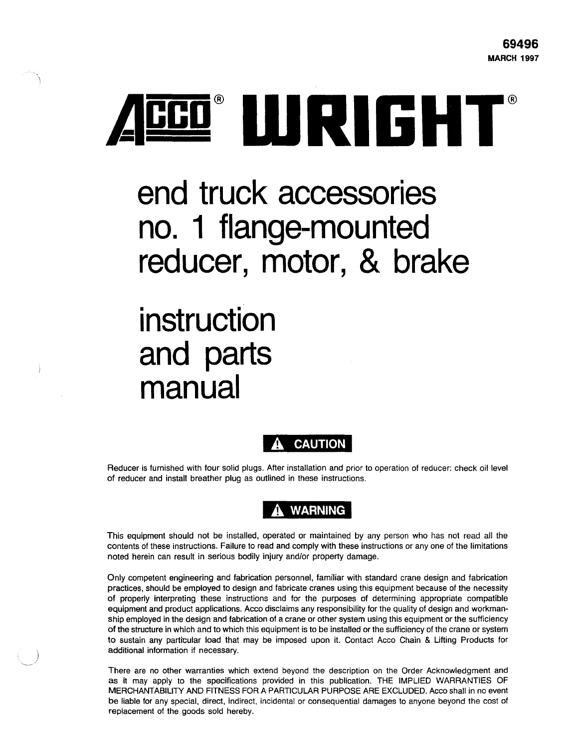

# **end truck accessories no. 1 flange-mounted reducer, motor, & brake**

# **instruction and parts manual**



Reducer is furnished with four solid plugs. After installation and prior to operation of reducer: check oil level of reducer and install breather plug as outlined in these instructions.

## **WARNING**

This equipment should not be installed, operated or maintained by any person who has not read all the contents of these instructions. Failure to read and comply with these instructions or any one of the limitations noted herein can result in serious bodily injury and/or property damage.

Only competent engineering and fabrication personnel, familiar with standard crane design and fabrication practices, should be employed to design and fabricate cranes using this equipment because of the necessity of properly interpreting these instructions and for the purposes of determining appropriate compatible equipment and product applications. Acco disclaims any responsibility for the quality of design and workmanship employed in the design and fabrication of a crane or other system using this equipment or the sufficiency of the structure in which and to which this equipment is to be installed or the sufficiency of the crane or system to sustain any partitular load that may be imposed upon it. Contact Acco Chain & Lifting Products for additional information if necessary.

There are no other warranties which extend beyond the description on the Order Acknowledgment and as it may apply to the specifications provided in this publication. THE IMPLIED WARRANTIES OF MERCHANTABILITY AND FITNESS FOR A PARTICULAR PURPOSE ARE EXCLUDED. Acco shall in no event be liable for any special, direct, indirect, incidental or consequential damages to anyone beyond the cost of replacement of the goods sold hereby.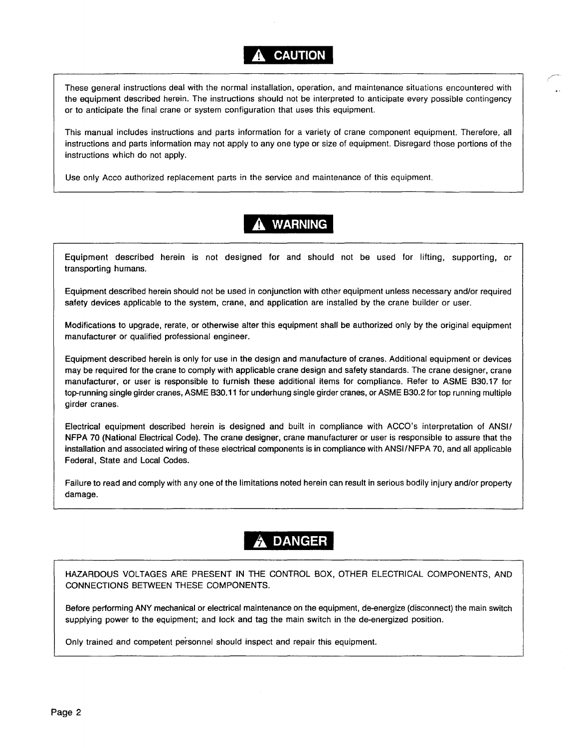### **CAUTION**

These general instructions deal with the normal installation, operation, and maintenance situations encountered with the equipment described herein. The instructions should not be interpreted to anticipate every possible contingency or to anticipate the final crane or system configuration that uses this equipment.

This manual includes instructions and parts information for a variety of crane component equipment. Therefore, all instructions and parts information may not apply to any one type or size of equipment. Disregard those portions of the instructions which do not apply.

Use only Acco authorized replacement parts in the service and maintenance of this equipment.

## **WARNING**

Equipment described herein is not designed for and should not be used for lifting, supporting, or transporting humans.

Equipment described herein should not be used in conjunction with other equipment unless necessary and/or required safety devices applicable to the system, crane, and application are installed by the crane builder or user.

Modifications to upgrade, rerate, or otherwise alter this equipment shall be authorized only by the original equipment manufacturer or qualified professional engineer.

Equipment described herein is only for use in the design and manufacture of cranes. Additional equipment or devices may be required for the crane to comply with applicable crane design and safety standards. The crane designer, crane manufacturer, or user is responsible to furnish these additional items for compliance. Refer to ASME B30.17 for top-running single girder cranes, ASME B30.11 for underhung single girder cranes, or ASME B30.2 for top running multiple girder cranes.

Electrical equipment described herein is designed and built in compliance with ACCO's interpretation of ANSI/ NFPA 70 (National Electrical Code). The crane designer, crane manufacturer or user is responsible to assure that the installation and associated wiring of these electrical components is in compliance with ANSI!NFPA 70, and all applicable Federal, State and Local Codes.

Failure to read and comply with any one of the limitations noted herein can result in serious bodily injury and/or property damage.

## **DANGER**

HAZARDOUS VOLTAGES ARE PRESENT IN THE CONTROL BOX, OTHER ELECTRICAL COMPONENTS, AND CONNECTIONS BETWEEN THESE COMPONENTS.

Before perfonming ANY mechanical or electrical maintenance on the equipment, de-energize (disconnect) the main switch supplying power to the equipment; and lock and tag the main switch in the de-energized position.

Only trained and competent personnel should inspect and repair this equipment.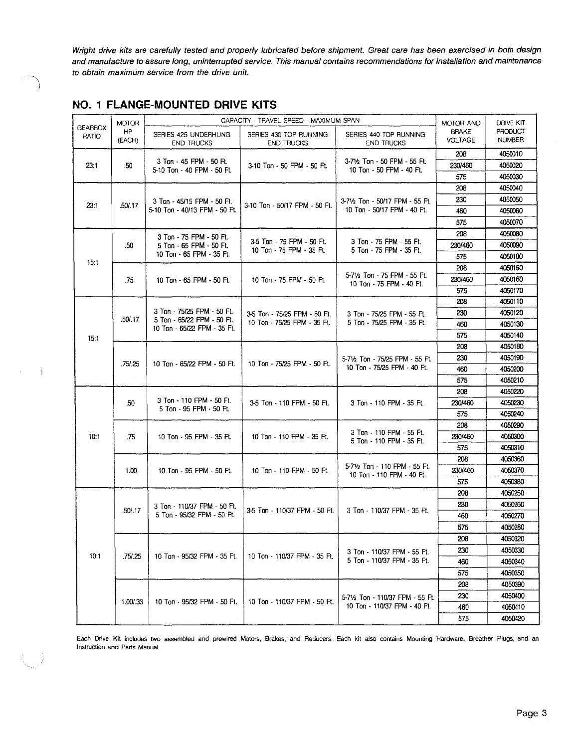Wright drive kits are carefully tested and properly lubricated before shipment. Great care has been exercised in both design and manufacture to assure long, uninterrupted service. This manual contains recommendations for installation and maintenance to obtain maximum service from the drive unit.

|                         | <b>MOTOR</b> |                                                           | CAPACITY - TRAVEL SPEED - MAXIMUM SPAN                | MOTOR AND                                                            | DRIVE KIT               |                          |
|-------------------------|--------------|-----------------------------------------------------------|-------------------------------------------------------|----------------------------------------------------------------------|-------------------------|--------------------------|
| <b>GEARBOX</b><br>RATIO | HP<br>(EACH) | SERIES 425 UNDERHUNG<br><b>END TRUCKS</b>                 | SERIES 430 TOP RUNNING<br><b>END TRUCKS</b>           | SERIES 440 TOP RUNNING<br><b>END TRUCKS</b>                          | <b>BRAKE</b><br>VOLTAGE | PRODUCT<br><b>NUMBER</b> |
|                         |              |                                                           |                                                       |                                                                      | 208                     | 4050010                  |
| 23:1                    | .50          | 3 Ton - 45 FPM - 50 FL<br>5-10 Ton - 40 FPM - 50 Ft.      | 3-10 Ton - 50 FPM - 50 Ft.                            | 3-71/2 Ton - 50 FPM - 55 FL<br>10 Ton - 50 FPM - 40 Ft.              | 230/460                 | 4050020                  |
|                         |              |                                                           |                                                       |                                                                      | 575                     | 4050030                  |
|                         |              |                                                           |                                                       |                                                                      | 208                     | 4050040                  |
|                         |              | 3 Ton - 45/15 FPM - 50 Ft.                                | 3-10 Ton - 50/17 FPM - 50 Ft.                         | 3-7½ Ton - 50/17 FPM - 55 Ft.                                        | 230                     | 4050050                  |
| 23:1                    | .50/.17      | 5-10 Ton - 40/13 FPM - 50 Ft.                             |                                                       | 10 Ton - 50/17 FPM - 40 Ft.                                          | 460                     | 4050060                  |
|                         |              |                                                           |                                                       |                                                                      | 575                     | 4050070                  |
|                         |              | 3 Ton - 75 FPM - 50 Ft.                                   |                                                       |                                                                      | 208                     | 4050080                  |
|                         | .50          | 5 Ton - 65 FPM - 50 Ft.                                   | 3-5 Ton - 75 FPM - 50 Ft.<br>10 Ton - 75 FPM - 35 Ft. | 3 Ton - 75 FPM - 55 Ft.<br>5 Ton - 75 FPM - 35 Ft.                   | 230/460                 | 4050090                  |
|                         |              | 10 Ton - 65 FPM - 35 Ft.                                  |                                                       |                                                                      | 575                     | 4050100                  |
| 15:1                    |              |                                                           |                                                       |                                                                      | 208                     | 4050150                  |
|                         | .75          | 10 Ton - 65 FPM - 50 Ft.                                  | 10 Ton - 75 FPM - 50 Ft.                              | 5-71/ <sub>2</sub> Ton - 75 FPM - 55 Ft.<br>10 Ton - 75 FPM - 40 Ft. | 230/460                 | 4050160                  |
|                         |              |                                                           |                                                       |                                                                      | 575                     | 4050170                  |
|                         |              |                                                           |                                                       |                                                                      | 208                     | 4050110                  |
|                         |              | 3 Ton - 75/25 FPM - 50 Ft.                                | 3-5 Ton - 75/25 FPM - 50 Ft.                          | 3 Ton - 75/25 FPM - 55 Ft.                                           | 230                     | 4050120                  |
|                         | .50/.17      | 5 Ton - 65/22 FPM - 50 Ft.<br>10 Ton - 65/22 FPM - 35 Ft. | 10 Ton - 75/25 FPM - 35 Ft.                           | 5 Ton - 75/25 FPM - 35 Ft.                                           | 460                     | 4050130                  |
| 15:1                    |              |                                                           |                                                       |                                                                      | 575                     | 4050140                  |
|                         |              |                                                           | 10 Ton - 75/25 FPM - 50 Ft.                           |                                                                      | 208                     | 4050180                  |
|                         | .75/.25      | 10 Ton - 65/22 FPM - 50 Ft.                               |                                                       | 5-7½ Ton - 75/25 FPM - 55 Ft.                                        | 230                     | 4050190                  |
|                         |              |                                                           |                                                       | 10 Ton - 75/25 FPM - 40 Ft.                                          | 460                     | 4050200                  |
|                         |              |                                                           |                                                       |                                                                      | 575                     | 4050210                  |
|                         |              |                                                           |                                                       |                                                                      | 208                     | 4050220                  |
|                         | .50          | 3 Ton - 110 FPM - 50 Ft.<br>5 Ton - 95 FPM - 50 Ft.       | 3-5 Ton - 110 FPM - 50 Ft.                            | 3 Ton - 110 FPM - 35 Ft.                                             | 230/460                 | 4050230                  |
|                         |              |                                                           |                                                       |                                                                      | 575                     | 4050240                  |
|                         |              |                                                           |                                                       | 3 Ton - 110 FPM - 55 Ft.                                             | 208                     | 4050290                  |
| 10:1                    | .75          | 10 Ton - 95 FPM - 35 Ft.                                  | 10 Ton - 110 FPM - 35 Ft.                             | 5 Ton - 110 FPM - 35 Ft.                                             | 230/460                 | 4050300                  |
|                         |              |                                                           |                                                       |                                                                      | 575                     | 4050310                  |
|                         |              |                                                           |                                                       | 5-71/2 Ton - 110 FPM - 55 Ft.                                        | 208                     | 4050360                  |
|                         | 1.00         | 10 Ton - 95 FPM - 50 Ft.                                  | 10 Ton - 110 FPM - 50 Ft.                             | 10 Ton - 110 FPM - 40 Ft.                                            | 230/460                 | 4050370                  |
|                         |              |                                                           |                                                       |                                                                      | 575                     | 4050380                  |
|                         |              |                                                           |                                                       |                                                                      | 208                     | 4050250                  |
|                         | .50/.17      | 3 Ton - 110/37 FPM - 50 Ft.                               | 3-5 Ton - 110/37 FPM - 50 Ft.                         | 3 Ton - 110/37 FPM - 35 Ft.                                          | 230                     | 4050260                  |
|                         |              | 5 Ton - 95/32 FPM - 50 Ft.                                |                                                       |                                                                      | 460                     | 4050270                  |
|                         |              |                                                           |                                                       |                                                                      | 575                     | 4050280                  |
|                         |              |                                                           |                                                       |                                                                      | 208                     | 4050320                  |
| 10:1                    | .75/.25      | 10 Ton - 95/32 FPM - 35 Ft.                               | 10 Ton - 110/37 FPM - 35 Ft.                          | 3 Ton - 110/37 FPM - 55 Ft.                                          | 230                     | 4050330                  |
|                         |              |                                                           |                                                       | 5 Ton - 110/37 FPM - 35 Ft.                                          | 460                     | 4050340                  |
|                         |              |                                                           |                                                       |                                                                      | 575                     | 4050350                  |
|                         |              |                                                           |                                                       |                                                                      | 208                     | 4050390                  |
|                         | 1.00/.33     | 10 Ton - 95/32 FPM - 50 Ft.                               | 10 Ton - 110/37 FPM - 50 Ft.                          | 5-71/2 Ton - 110/37 FPM - 55 Ft.                                     | 230                     | 4050400                  |
|                         |              |                                                           |                                                       | 10 Ton - 110/37 FPM - 40 Ft.                                         | 460                     | 4050410                  |
|                         |              |                                                           |                                                       |                                                                      | 575                     | 4050420                  |

#### **NO.1 FLANGE-MOUNTED DRIVE KITS**

 $\rightarrow$   $\rightarrow$ 

Each Drive Kit includes two assembled and prewired Motors, Brakes, and Reducers. Each kit also contains Mounting Hardware, Breather Plugs, and an Instruction and Parts Manual.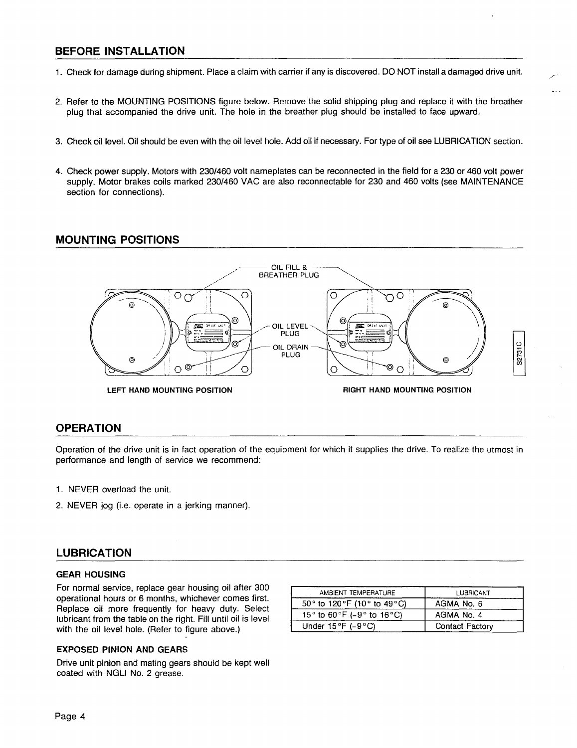#### BEFORE INSTALLATION

- 1. Check for damage during shipment. Place a claim with carrier if any is discovered. DO NOT install a damaged drive unit.
- 2. Refer to the MOUNTING POSITIONS figure below. Remove the solid shipping plug and replace it with the breather plug that accompanied the drive unit. The hole in the breather plug should be installed to face upward.
- 3. Check oil level. Oil should be even with the oil level hole. Add oil if necessary. For type of oil see LUBRICATION section.
- 4. Check power supply. Motors with 230/460 volt nameplates can be reconnected in the field for a 230 or 460 volt power supply. Motor brakes coils marked 230/460 VAC are also reconnectable for 230 and 460 volts {see MAINTENANCE section for connections).

#### MOUNTING POSITIONS



#### **OPERATION**

Operation of the drive unit is in fact operation of the equipment for which it supplies the drive. To realize the utmost in performance and length of service we recommend:

- 1. NEVER overload the unit.
- 2. NEVER jog {i.e. operate in a jerking manner).

#### LUBRICATION

#### GEAR HOUSING

For normal service, replace gear housing oil after 300 operational hours or 6 months, whichever comes first. Replace oil more frequently for heavy duty. Select lubricant from the table on the right. Fill until oil is level with the oil level hole. (Refer to figure above.)

| AMBIENT TEMPERATURE                                             | LUBRICANT       |
|-----------------------------------------------------------------|-----------------|
| 50° to 120°F (10° to 49°C)                                      | AGMA No. 6      |
| 15 $\degree$ to 60 $\degree$ F (-9 $\degree$ to 16 $\degree$ C) | AGMA No. 4      |
| Under $15\,^{\circ}$ F (-9 $^{\circ}$ C)                        | Contact Factory |

#### EXPOSED PINION AND GEARS

Drive unit pinion and mating gears should be kept well coated with NGLI No. 2 grease.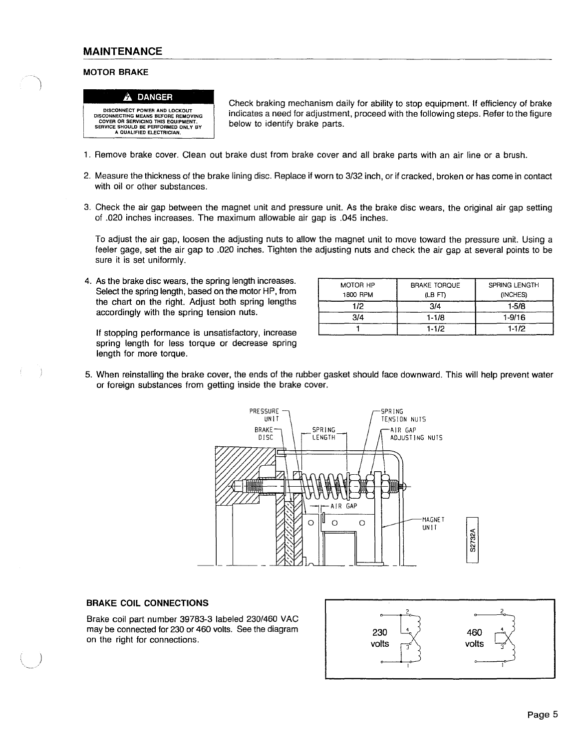#### **MAINTENANCE**

#### **MOTOR BRAKE**

 $\rightarrow$ 



DISCONNECT POWER AND LOCKOUT DISCONNECTING MEANS BEFORE REMOVING COVER OR SERVICING THIS EQUIPMENT. SERVICE SHOULD BE PERFORMED ONLY BY A QUALIFIED ELECTRICIAN.

Check braking mechanism daily for ability to stop equipment If efficiency of brake indicates a need for adjustment, proceed with the following steps. Refer to the figure below to identify brake parts.

- 1. Remove brake cover. Clean out brake dust from brake cover and all brake parts with an air line or a brush.
- 2. Measure the thickness of the brake lining disc. Replace if worn to 3/32 inch, or if cracked, broken or has come in contact with oil or other substances.
- 3. Check the air gap between the magnet unit and pressure unit As the brake disc wears, the original air gap setting of .020 inches increases. The maximum allowable air gap is .045 inches.

To adjust the air gap, loosen the adjusting nuts to allow the magnet unit to move toward the pressure unit Using a feeler gage, set the air gap to .020 inches. Tighten the adjusting nuts and check the air gap at several points to be sure it is set uniformly.

4. As the brake disc wears, the spring length increases. Select the spring length, based on the motor HP, from the chart on the right. Adjust both spring lengths accordingly with the spring tension nuts.

If stopping performance is unsatisfactory, increase spring length for less torque or decrease spring length for more torque.

| MOTOR HP<br>1800 RPM | <b>BRAKE TORQUE</b><br>(LB FT) | SPRING LENGTH<br>(INCHES) |
|----------------------|--------------------------------|---------------------------|
| 1/2                  | 3/4                            | $1-5/8$                   |
| 3/4                  | $1 - 1/8$                      | $1 - 9/16$                |
|                      | $1 - 1/2$                      | $1-1/2$                   |

5. When reinstalling the brake cover, the ends of the rubber gasket should face downward. This will help prevent water or foreign substances from getting inside the brake cover.



#### **BRAKE COIL CONNECTIONS**

Brake coil part number 39783-3 labeled 230/460 VAC may be connected for 230 or 460 volts. See the diagram 230  $\begin{bmatrix} 4 & 3 \\ 230 & 230 \end{bmatrix}$ 

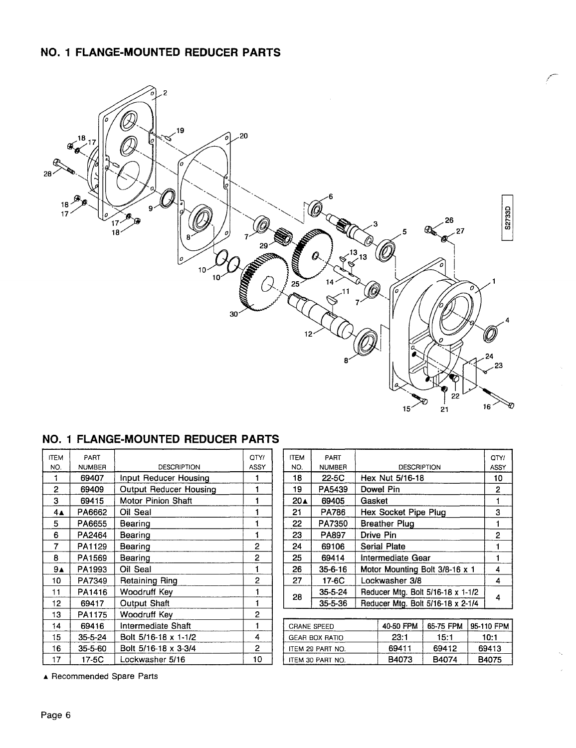### **NO.1 FLANGE-MOUNTED REDUCER PARTS**



#### **NO.1 FLANGE-MOUNTED REDUCER PARTS**

| <b>ITEM</b> | PART          |                        | OTY/           |                                       | <b>ITEM</b> | PART             |        |                                   |           | O1       |
|-------------|---------------|------------------------|----------------|---------------------------------------|-------------|------------------|--------|-----------------------------------|-----------|----------|
| NO.         | <b>NUMBER</b> | <b>DESCRIPTION</b>     | ASSY           |                                       | NO.         | <b>NUMBER</b>    |        | <b>DESCRIPTION</b>                |           | AS       |
|             | 69407         | Input Reducer Housing  |                |                                       | 18          | 22-5C            |        | Hex Nut 5/16-18                   |           |          |
| 2           | 69409         | Output Reducer Housing |                |                                       | 19          | PA5439           |        | Dowel Pin                         |           |          |
| 3           | 69415         | Motor Pinion Shaft     |                |                                       | 20▲         | 69405            | Gasket |                                   |           |          |
| 4▲          | PA6662        | Oil Seal               |                |                                       | 21          | <b>PA786</b>     |        | Hex Socket Pipe Plug              |           |          |
| 5.          | PA6655        | Bearing                |                |                                       | 22          | PA7350           |        | <b>Breather Plug</b>              |           |          |
| 6           | PA2464        | Bearing                |                |                                       | 23          | PA897            |        | Drive Pin                         |           |          |
| 7           | PA1129        | Bearing                | $\overline{2}$ |                                       | 24          | 69106            |        | <b>Serial Plate</b>               |           |          |
| 8           | PA1569        | Bearing                | 2              |                                       | 25          | 69414            |        | Intermediate Gear                 |           |          |
| 9▲          | PA1993        | Oil Seal               |                |                                       | 26          | $35 - 6 - 16$    |        | Motor Mounting Bolt 3/8-16 x 1    |           |          |
| 10          | PA7349        | Retaining Ring         | $\overline{2}$ |                                       | 27          | 17-6C            |        | Lockwasher 3/8                    |           |          |
| 11          | PA1416        | Woodruff Key           | 1              |                                       | 28          | $35 - 5 - 24$    |        | Reducer Mtg. Bolt 5/16-18 x 1-1/2 |           |          |
| 12          | 69417         | Output Shaft           |                |                                       |             | 35-5-36          |        | Reducer Mtg. Bolt 5/16-18 x 2-1/4 |           |          |
| 13          | PA1175        | Woodruff Key           | $\overline{2}$ |                                       |             |                  |        |                                   |           |          |
| 14          | 69416         | Intermediate Shaft     | 1              |                                       |             | CRANE SPEED      |        | 40-50 FPM                         | 65-75 FPM | 95-110 F |
| 15          | 35-5-24       | Bolt 5/16-18 x 1-1/2   | 4              | 23:1<br>15:1<br><b>GEAR BOX RATIO</b> |             | 10:1             |        |                                   |           |          |
| 16          | 35-5-60       | Bolt 5/16-18 x 3-3/4   | $\overline{2}$ | 69411<br>69412<br>ITEM 29 PART NO.    |             |                  | 6941   |                                   |           |          |
| 17          | 17-5C         | Lockwasher 5/16        | 10             |                                       |             | ITEM 30 PART NO. |        | B4073                             | B4074     | B407     |

| <b>ITEM</b><br>NO. | PART<br><b>NUMBER</b> | <b>DESCRIPTION</b>     | OTY/<br>ASSY   | <b>ITEM</b><br>NO. | PART<br><b>NUMBER</b> | <b>DESCRIPTION</b>             |                                   |           | OTY/<br>ASSY |            |
|--------------------|-----------------------|------------------------|----------------|--------------------|-----------------------|--------------------------------|-----------------------------------|-----------|--------------|------------|
|                    | 69407                 | Input Reducer Housing  |                | 18                 | 22-5C                 |                                | Hex Nut 5/16-18                   |           |              | 10         |
|                    |                       |                        |                |                    |                       |                                |                                   |           |              |            |
| $\overline{2}$     | 69409                 | Output Reducer Housing |                | 19                 | PA5439                |                                | Dowel Pin                         |           |              | 2          |
| 3                  | 69415                 | Motor Pinion Shaft     |                | 20▲                | 69405                 | Gasket                         |                                   |           |              |            |
| $4\blacktriangle$  | PA6662                | Oil Seal               |                | 21                 | <b>PA786</b>          |                                | Hex Socket Pipe Plug              |           |              | 3          |
| 5                  | PA6655                | Bearing                |                | 22                 | PA7350                | <b>Breather Plug</b>           |                                   |           | 1            |            |
| 6                  | PA2464                | Bearing                |                | 23                 | PA897                 | Drive Pin                      |                                   |           | 2            |            |
| $\overline{7}$     | PA1129                | Bearing                | 2              | 24                 | 69106                 | <b>Serial Plate</b>            |                                   |           |              |            |
| 8                  | PA1569                | Bearing                | 2              | 25                 | 69414                 | Intermediate Gear              |                                   |           |              |            |
| 9 <sub>A</sub>     | PA1993                | Oil Seal               |                | 26                 | $35 - 6 - 16$         | Motor Mounting Bolt 3/8-16 x 1 |                                   |           | 4            |            |
| 10                 | PA7349                | <b>Retaining Ring</b>  | $\overline{c}$ | 27                 | 17-6C                 |                                | Lockwasher 3/8                    |           |              | 4          |
| 11                 | PA1416                | Woodruff Key           |                |                    | $35 - 5 - 24$         |                                | Reducer Mtg. Bolt 5/16-18 x 1-1/2 |           |              | 4          |
| 12                 | 69417                 | Output Shaft           |                |                    | 28<br>35-5-36         |                                | Reducer Mtg. Bolt 5/16-18 x 2-1/4 |           |              |            |
| 13                 | PA1175                | Woodruff Key           | 2              |                    |                       |                                |                                   |           |              |            |
| 14                 | 69416                 | Intermediate Shaft     | 1              |                    | <b>CRANE SPEED</b>    |                                | 40-50 FPM                         | 65-75 FPM |              | 95-110 FPM |
| 15                 | $35 - 5 - 24$         | Bolt 5/16-18 x 1-1/2   | 4              |                    | <b>GEAR BOX RATIO</b> |                                | 23:1                              | 15:1      |              | 10:1       |
| 16                 | 35-5-60               | Bolt 5/16-18 x 3-3/4   | 2              |                    | ITEM 29 PART NO.      |                                | 69411                             | 69412     |              | 69413      |
| 17                 | 17-5C                 | Lockwasher 5/16        | 10             | ITEM 30 PART NO.   |                       |                                | B4073                             | B4074     |              | B4075      |

**..t.** Recommended Spare Parts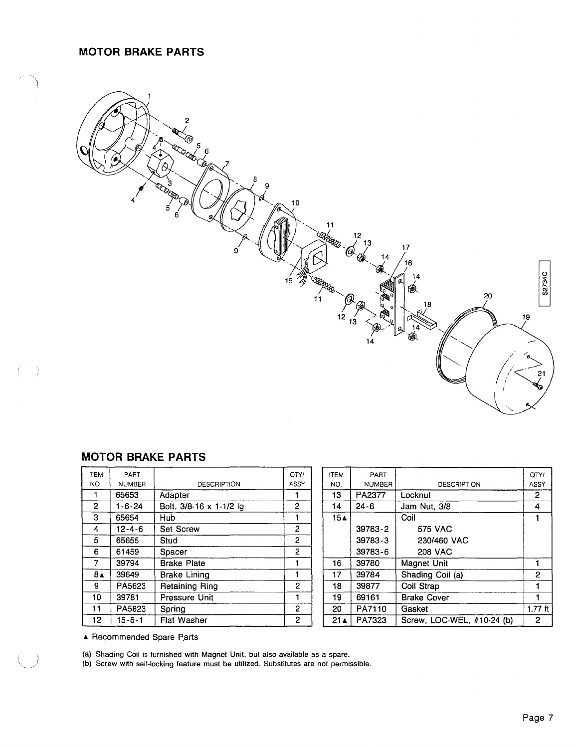#### **MOTOR BRAKE PARTS**



#### **MOTOR BRAKE PARTS**

 $($ 

| <b>ITEM</b>    | PART          |                         | OTY/         | <b>ITEM</b>     | <b>PART</b>   |                    |
|----------------|---------------|-------------------------|--------------|-----------------|---------------|--------------------|
| NO.            | <b>NUMBER</b> | <b>DESCRIPTION</b>      | <b>ASSY</b>  | NO.             | <b>NUMBER</b> | <b>DESCRIPT</b>    |
|                | 65653         | Adapter                 |              | 13              | PA2377        | Locknut            |
| $\overline{2}$ | $1 - 6 - 24$  | Bolt, 3/8-16 x 1-1/2 lg | 2            | 14              | $24 - 6$      | Jam Nut, 3/8       |
| 3              | 65654         | Hub.                    |              | 15∡             |               | Coil               |
| 4              | $12 - 4 - 6$  | <b>Set Screw</b>        | 2            |                 | 39783-2       | <b>575 VAC</b>     |
| 5              | 65655         | Stud                    | 2            |                 | 39783-3       | 230/460 VAC        |
| 6              | 61459         | Spacer                  | 2            |                 | 39783-6       | <b>208 VAC</b>     |
| 7              | 39794         | <b>Brake Plate</b>      |              | 16              | 39780         | Magnet Unit        |
| $8\triangle$   | 39649         | <b>Brake Lining</b>     | 1            | 17              | 39784         | Shading Coil (a)   |
| 9              | PA5623        | <b>Retaining Ring</b>   | 2            | 18              | 39877         | Coil Strap         |
| 10             | 39781         | Pressure Unit           |              | 19              | 69161         | <b>Brake Cover</b> |
| 11             | PA5823        | Spring                  | 2            | 20              | PA7110        | Gasket             |
| 12             | $15 - 6 - 1$  | Flat Washer             | $\mathbf{2}$ | 21 <sub>A</sub> | PA7323        | Screw. LOC-WEL     |

| <b>ITEM</b>     | PART          |                         | OTY/           | <b>ITEM</b>        | PART          |                            | OTY/           |
|-----------------|---------------|-------------------------|----------------|--------------------|---------------|----------------------------|----------------|
| NO.             | <b>NUMBER</b> | <b>DESCRIPTION</b>      | ASSY           | NO.                | <b>NUMBER</b> | <b>DESCRIPTION</b>         | <b>ASSY</b>    |
|                 | 65653         | Adapter                 |                | 13                 | PA2377        | Locknut                    | $\overline{2}$ |
| $\overline{2}$  | 1-6-24        | Bolt, 3/8-16 x 1-1/2 lg | $\overline{2}$ | 14                 | $24 - 6$      | Jam Nut, 3/8               | 4              |
| 3               | 65654         | <b>Hub</b>              |                | $15\blacktriangle$ |               | Coil                       |                |
| 4               | $12 - 4 - 6$  | <b>Set Screw</b>        | 2              |                    | 39783-2       | <b>575 VAC</b>             |                |
| 5               | 65655         | Stud                    | 2              |                    | 39783-3       | 230/460 VAC                |                |
| 6               | 61459         | Spacer                  | $\overline{2}$ |                    | 39783-6       | <b>208 VAC</b>             |                |
| $\overline{7}$  | 39794         | <b>Brake Plate</b>      |                | 16                 | 39780         | Magnet Unit                |                |
| $8\triangle$    | 39649         | <b>Brake Lining</b>     |                | 17                 | 39784         | Shading Coil (a)           | 2              |
| 9               | PA5623        | <b>Retaining Ring</b>   | 2              | 18                 | 39877         | Coil Strap                 |                |
| 10              | 39781         | Pressure Unit           |                | 19                 | 69161         | <b>Brake Cover</b>         |                |
| 11              | PA5823        | Spring                  | $\overline{2}$ | 20                 | PA7110        | Gasket                     | $1.77$ ft      |
| 12 <sub>2</sub> | $15 - 6 - 1$  | Flat Washer             | $\mathbf{2}$   | 21 <sub>A</sub>    | PA7323        | Screw, LOC-WEL, #10-24 (b) | $\mathbf{2}$   |
|                 |               |                         |                |                    |               |                            |                |

▲ Recommended Spare Parts

(a) Shading Coil is furnished with Magnet Unit, but also available as a spare.

(b) Screw with self-locking feature must be utilized. Substitutes are not permissible.